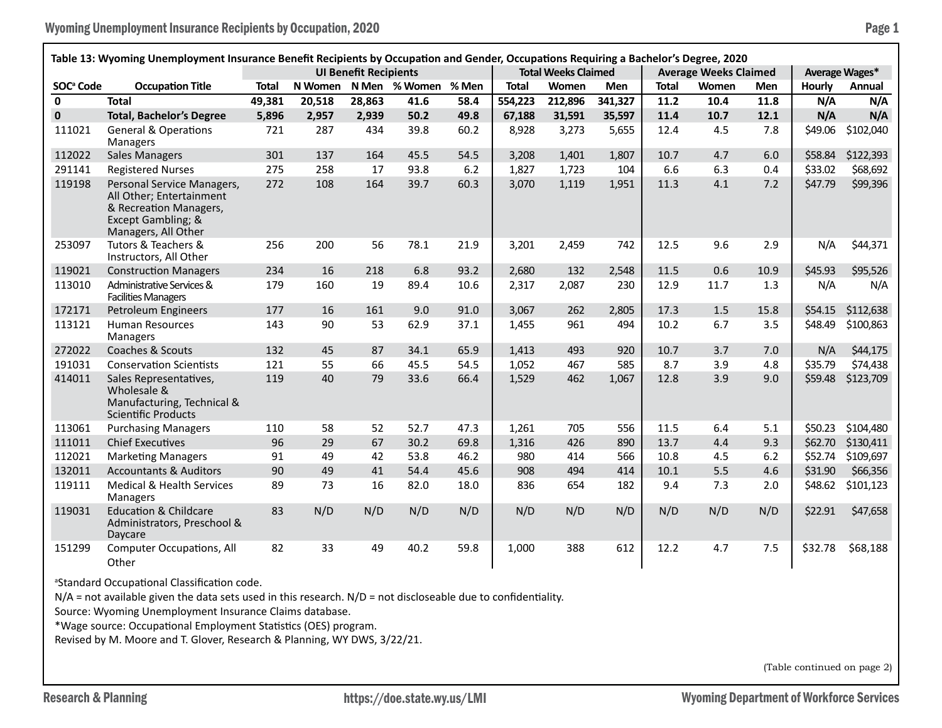| Table 13: Wyoming Unemployment Insurance Benefit Recipients by Occupation and Gender, Occupations Requiring a Bachelor's Degree, 2020 |                                                                                                                               |              |         |                              |               |       |              |                            |            |              |                              |            |               |                |
|---------------------------------------------------------------------------------------------------------------------------------------|-------------------------------------------------------------------------------------------------------------------------------|--------------|---------|------------------------------|---------------|-------|--------------|----------------------------|------------|--------------|------------------------------|------------|---------------|----------------|
|                                                                                                                                       |                                                                                                                               |              |         | <b>UI Benefit Recipients</b> |               |       |              | <b>Total Weeks Claimed</b> |            |              | <b>Average Weeks Claimed</b> |            |               | Average Wages* |
| SOC <sup>ª</sup> Code                                                                                                                 | <b>Occupation Title</b>                                                                                                       | <b>Total</b> | N Women |                              | N Men % Women | % Men | <b>Total</b> | Women                      | <b>Men</b> | <b>Total</b> | Women                        | <b>Men</b> | <b>Hourly</b> | Annual         |
| $\mathbf{0}$                                                                                                                          | <b>Total</b>                                                                                                                  | 49,381       | 20,518  | 28,863                       | 41.6          | 58.4  | 554,223      | 212,896                    | 341,327    | 11.2         | 10.4                         | 11.8       | N/A           | N/A            |
| $\mathbf{0}$                                                                                                                          | <b>Total, Bachelor's Degree</b>                                                                                               | 5,896        | 2,957   | 2.939                        | 50.2          | 49.8  | 67,188       | 31,591                     | 35,597     | 11.4         | 10.7                         | 12.1       | N/A           | N/A            |
| 111021                                                                                                                                | <b>General &amp; Operations</b><br>Managers                                                                                   | 721          | 287     | 434                          | 39.8          | 60.2  | 8,928        | 3,273                      | 5,655      | 12.4         | 4.5                          | 7.8        | \$49.06       | \$102,040      |
| 112022                                                                                                                                | <b>Sales Managers</b>                                                                                                         | 301          | 137     | 164                          | 45.5          | 54.5  | 3,208        | 1,401                      | 1,807      | 10.7         | 4.7                          | 6.0        | \$58.84       | \$122,393      |
| 291141                                                                                                                                | <b>Registered Nurses</b>                                                                                                      | 275          | 258     | 17                           | 93.8          | 6.2   | 1,827        | 1,723                      | 104        | 6.6          | 6.3                          | 0.4        | \$33.02       | \$68,692       |
| 119198                                                                                                                                | Personal Service Managers,<br>All Other; Entertainment<br>& Recreation Managers,<br>Except Gambling; &<br>Managers, All Other | 272          | 108     | 164                          | 39.7          | 60.3  | 3,070        | 1,119                      | 1,951      | 11.3         | 4.1                          | 7.2        | \$47.79       | \$99,396       |
| 253097                                                                                                                                | Tutors & Teachers &<br>Instructors, All Other                                                                                 | 256          | 200     | 56                           | 78.1          | 21.9  | 3,201        | 2,459                      | 742        | 12.5         | 9.6                          | 2.9        | N/A           | \$44,371       |
| 119021                                                                                                                                | <b>Construction Managers</b>                                                                                                  | 234          | 16      | 218                          | 6.8           | 93.2  | 2,680        | 132                        | 2,548      | 11.5         | 0.6                          | 10.9       | \$45.93       | \$95,526       |
| 113010                                                                                                                                | Administrative Services &<br><b>Facilities Managers</b>                                                                       | 179          | 160     | 19                           | 89.4          | 10.6  | 2,317        | 2,087                      | 230        | 12.9         | 11.7                         | 1.3        | N/A           | N/A            |
| 172171                                                                                                                                | Petroleum Engineers                                                                                                           | 177          | 16      | 161                          | 9.0           | 91.0  | 3,067        | 262                        | 2,805      | 17.3         | 1.5                          | 15.8       | \$54.15       | \$112,638      |
| 113121                                                                                                                                | <b>Human Resources</b><br>Managers                                                                                            | 143          | 90      | 53                           | 62.9          | 37.1  | 1.455        | 961                        | 494        | 10.2         | 6.7                          | 3.5        | \$48.49       | \$100,863      |
| 272022                                                                                                                                | Coaches & Scouts                                                                                                              | 132          | 45      | 87                           | 34.1          | 65.9  | 1,413        | 493                        | 920        | 10.7         | 3.7                          | 7.0        | N/A           | \$44,175       |
| 191031                                                                                                                                | <b>Conservation Scientists</b>                                                                                                | 121          | 55      | 66                           | 45.5          | 54.5  | 1,052        | 467                        | 585        | 8.7          | 3.9                          | 4.8        | \$35.79       | \$74,438       |
| 414011                                                                                                                                | Sales Representatives,<br>Wholesale &<br>Manufacturing, Technical &<br><b>Scientific Products</b>                             | 119          | 40      | 79                           | 33.6          | 66.4  | 1,529        | 462                        | 1,067      | 12.8         | 3.9                          | 9.0        | \$59.48       | \$123,709      |
| 113061                                                                                                                                | <b>Purchasing Managers</b>                                                                                                    | 110          | 58      | 52                           | 52.7          | 47.3  | 1,261        | 705                        | 556        | 11.5         | 6.4                          | 5.1        | \$50.23       | \$104,480      |
| 111011                                                                                                                                | <b>Chief Executives</b>                                                                                                       | 96           | 29      | 67                           | 30.2          | 69.8  | 1,316        | 426                        | 890        | 13.7         | 4.4                          | 9.3        | \$62.70       | \$130,411      |
| 112021                                                                                                                                | <b>Marketing Managers</b>                                                                                                     | 91           | 49      | 42                           | 53.8          | 46.2  | 980          | 414                        | 566        | 10.8         | 4.5                          | $6.2$      | \$52.74       | \$109,697      |
| 132011                                                                                                                                | <b>Accountants &amp; Auditors</b>                                                                                             | 90           | 49      | 41                           | 54.4          | 45.6  | 908          | 494                        | 414        | 10.1         | 5.5                          | 4.6        | \$31.90       | \$66,356       |
| 119111                                                                                                                                | Medical & Health Services<br><b>Managers</b>                                                                                  | 89           | 73      | 16                           | 82.0          | 18.0  | 836          | 654                        | 182        | 9.4          | 7.3                          | 2.0        | \$48.62       | \$101,123      |
| 119031                                                                                                                                | <b>Education &amp; Childcare</b><br>Administrators, Preschool &<br>Daycare                                                    | 83           | N/D     | N/D                          | N/D           | N/D   | N/D          | N/D                        | N/D        | N/D          | N/D                          | N/D        | \$22.91       | \$47,658       |
| 151299                                                                                                                                | <b>Computer Occupations, All</b><br>Other                                                                                     | 82           | 33      | 49                           | 40.2          | 59.8  | 1,000        | 388                        | 612        | 12.2         | 4.7                          | 7.5        | \$32.78       | \$68,188       |

a Standard Occupational Classification code.

N/A = not available given the data sets used in this research. N/D = not discloseable due to confidentiality.

Source: Wyoming Unemployment Insurance Claims database.

\*Wage source: Occupational Employment Statistics (OES) program.

Revised by M. Moore and T. Glover, Research & Planning, WY DWS, 3/22/21.

(Table continued on page 2)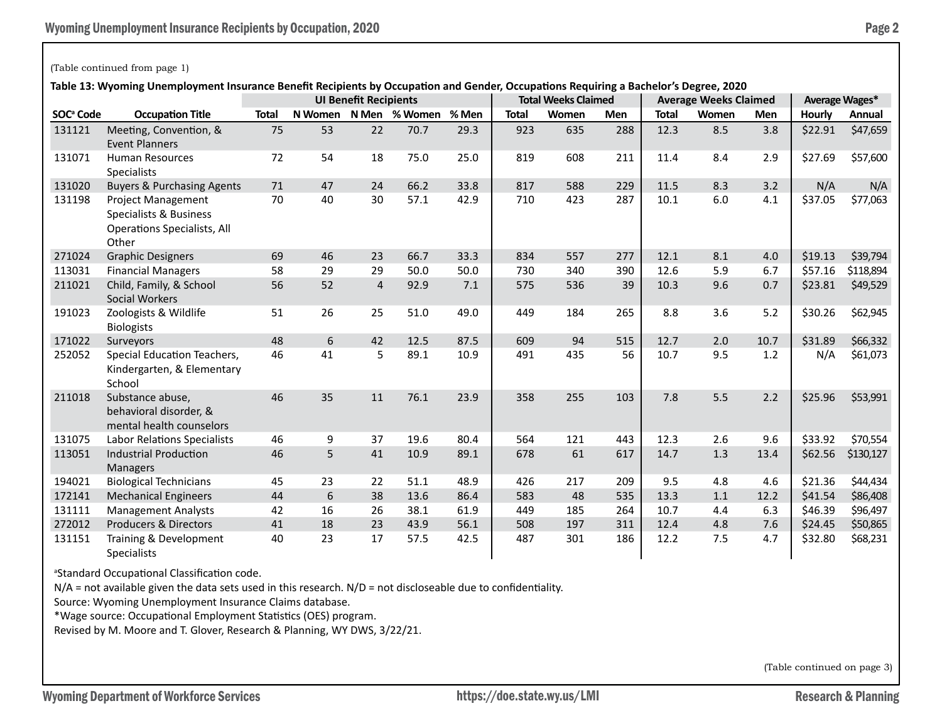### (Table continued from page 1)

**Table 13: Wyoming Unemployment Insurance Benefit Recipients by Occupation and Gender, Occupations Requiring a Bachelor's Degree, 2020**

|                       |                                                                                                    | <b>UI Benefit Recipients</b> |         |                |                     |      | <b>Total Weeks Claimed</b> |       |     | <b>Average Weeks Claimed</b> | Average Wages* |      |               |           |
|-----------------------|----------------------------------------------------------------------------------------------------|------------------------------|---------|----------------|---------------------|------|----------------------------|-------|-----|------------------------------|----------------|------|---------------|-----------|
| SOC <sup>ª</sup> Code | <b>Occupation Title</b>                                                                            | <b>Total</b>                 | N Women |                | N Men % Women % Men |      | <b>Total</b>               | Women | Men | <b>Total</b>                 | Women          | Men  | <b>Hourly</b> | Annual    |
| 131121                | Meeting, Convention, &<br><b>Event Planners</b>                                                    | 75                           | 53      | 22             | 70.7                | 29.3 | 923                        | 635   | 288 | 12.3                         | 8.5            | 3.8  | \$22.91       | \$47,659  |
| 131071                | <b>Human Resources</b><br><b>Specialists</b>                                                       | 72                           | 54      | 18             | 75.0                | 25.0 | 819                        | 608   | 211 | 11.4                         | 8.4            | 2.9  | \$27.69       | \$57,600  |
| 131020                | <b>Buyers &amp; Purchasing Agents</b>                                                              | 71                           | 47      | 24             | 66.2                | 33.8 | 817                        | 588   | 229 | 11.5                         | 8.3            | 3.2  | N/A           | N/A       |
| 131198                | <b>Project Management</b><br>Specialists & Business<br><b>Operations Specialists, All</b><br>Other | 70                           | 40      | 30             | 57.1                | 42.9 | 710                        | 423   | 287 | 10.1                         | $6.0\,$        | 4.1  | \$37.05       | \$77,063  |
| 271024                | <b>Graphic Designers</b>                                                                           | 69                           | 46      | 23             | 66.7                | 33.3 | 834                        | 557   | 277 | 12.1                         | 8.1            | 4.0  | \$19.13       | \$39,794  |
| 113031                | <b>Financial Managers</b>                                                                          | 58                           | 29      | 29             | 50.0                | 50.0 | 730                        | 340   | 390 | 12.6                         | 5.9            | 6.7  | \$57.16       | \$118,894 |
| 211021                | Child, Family, & School<br><b>Social Workers</b>                                                   | 56                           | 52      | $\overline{4}$ | 92.9                | 7.1  | 575                        | 536   | 39  | 10.3                         | 9.6            | 0.7  | \$23.81       | \$49,529  |
| 191023                | Zoologists & Wildlife<br><b>Biologists</b>                                                         | 51                           | 26      | 25             | 51.0                | 49.0 | 449                        | 184   | 265 | 8.8                          | 3.6            | 5.2  | \$30.26       | \$62,945  |
| 171022                | Surveyors                                                                                          | 48                           | 6       | 42             | 12.5                | 87.5 | 609                        | 94    | 515 | 12.7                         | 2.0            | 10.7 | \$31.89       | \$66,332  |
| 252052                | Special Education Teachers,<br>Kindergarten, & Elementary<br>School                                | 46                           | 41      | 5              | 89.1                | 10.9 | 491                        | 435   | 56  | 10.7                         | 9.5            | 1.2  | N/A           | \$61,073  |
| 211018                | Substance abuse,<br>behavioral disorder, &<br>mental health counselors                             | 46                           | 35      | 11             | 76.1                | 23.9 | 358                        | 255   | 103 | 7.8                          | 5.5            | 2.2  | \$25.96       | \$53,991  |
| 131075                | <b>Labor Relations Specialists</b>                                                                 | 46                           | 9       | 37             | 19.6                | 80.4 | 564                        | 121   | 443 | 12.3                         | 2.6            | 9.6  | \$33.92       | \$70,554  |
| 113051                | <b>Industrial Production</b><br><b>Managers</b>                                                    | 46                           | 5       | 41             | 10.9                | 89.1 | 678                        | 61    | 617 | 14.7                         | 1.3            | 13.4 | \$62.56       | \$130,127 |
| 194021                | <b>Biological Technicians</b>                                                                      | 45                           | 23      | 22             | 51.1                | 48.9 | 426                        | 217   | 209 | 9.5                          | 4.8            | 4.6  | \$21.36       | \$44,434  |
| 172141                | <b>Mechanical Engineers</b>                                                                        | 44                           | 6       | 38             | 13.6                | 86.4 | 583                        | 48    | 535 | 13.3                         | 1.1            | 12.2 | \$41.54       | \$86,408  |
| 131111                | <b>Management Analysts</b>                                                                         | 42                           | 16      | 26             | 38.1                | 61.9 | 449                        | 185   | 264 | 10.7                         | 4.4            | 6.3  | \$46.39       | \$96,497  |
| 272012                | <b>Producers &amp; Directors</b>                                                                   | 41                           | 18      | 23             | 43.9                | 56.1 | 508                        | 197   | 311 | 12.4                         | 4.8            | 7.6  | \$24.45       | \$50,865  |
| 131151                | Training & Development<br>Specialists                                                              | 40                           | 23      | 17             | 57.5                | 42.5 | 487                        | 301   | 186 | 12.2                         | 7.5            | 4.7  | \$32.80       | \$68,231  |

a Standard Occupational Classification code.

 $N/A$  = not available given the data sets used in this research.  $N/D$  = not discloseable due to confidentiality.

Source: Wyoming Unemployment Insurance Claims database.

\*Wage source: Occupational Employment Statistics (OES) program.

Revised by M. Moore and T. Glover, Research & Planning, WY DWS, 3/22/21.

(Table continued on page 3)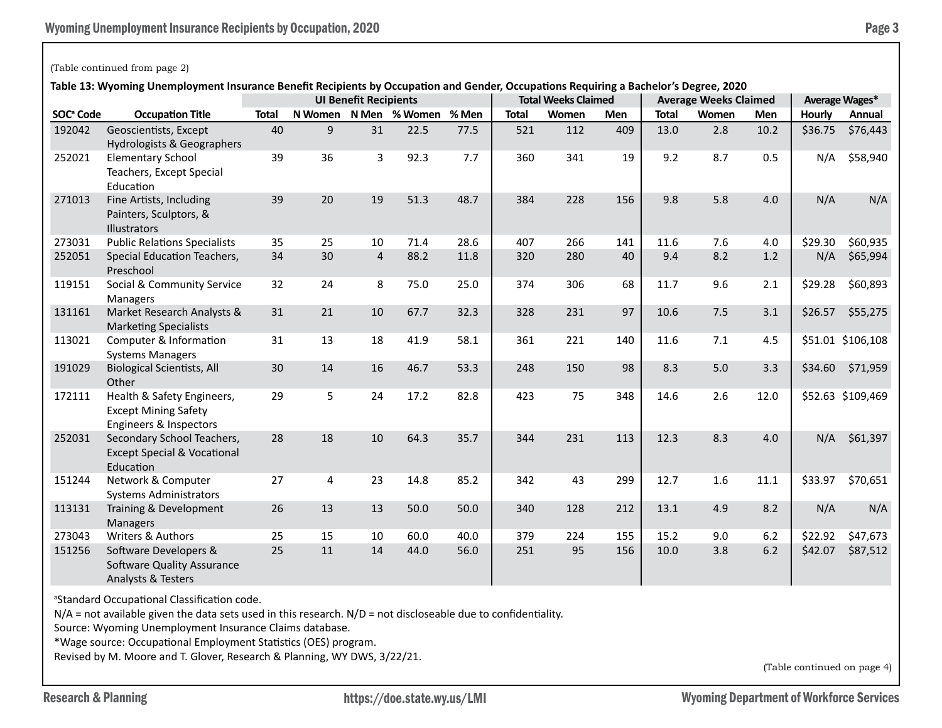## (Table continued from page 2)

**Table 13: Wyoming Unemployment Insurance Benefit Recipients by Occupation and Gender, Occupations Requiring a Bachelor's Degree, 2020**

|                       |                                                                                     | wyoming onemployment modiance benent necipients by occupation and ocnuer, occupations negaming a bachelor s begree, zozo<br><b>UI Benefit Recipients</b> |    |                |                       |       | <b>Total Weeks Claimed</b> |       |            | <b>Average Weeks Claimed</b> | Average Wages* |            |               |                   |
|-----------------------|-------------------------------------------------------------------------------------|----------------------------------------------------------------------------------------------------------------------------------------------------------|----|----------------|-----------------------|-------|----------------------------|-------|------------|------------------------------|----------------|------------|---------------|-------------------|
| SOC <sup>ª</sup> Code | <b>Occupation Title</b>                                                             | <b>Total</b>                                                                                                                                             |    |                | N Women N Men % Women | % Men | <b>Total</b>               | Women | <b>Men</b> | <b>Total</b>                 | Women          | <b>Men</b> | <b>Hourly</b> | Annual            |
| 192042                | Geoscientists, Except<br>Hydrologists & Geographers                                 | 40                                                                                                                                                       | 9  | 31             | 22.5                  | 77.5  | 521                        | 112   | 409        | 13.0                         | 2.8            | 10.2       | \$36.75       | \$76,443          |
| 252021                | <b>Elementary School</b><br>Teachers, Except Special<br>Education                   | 39                                                                                                                                                       | 36 | 3              | 92.3                  | 7.7   | 360                        | 341   | 19         | 9.2                          | 8.7            | 0.5        | N/A           | \$58,940          |
| 271013                | Fine Artists, Including<br>Painters, Sculptors, &<br><b>Illustrators</b>            | 39                                                                                                                                                       | 20 | 19             | 51.3                  | 48.7  | 384                        | 228   | 156        | 9.8                          | 5.8            | 4.0        | N/A           | N/A               |
| 273031                | <b>Public Relations Specialists</b>                                                 | 35                                                                                                                                                       | 25 | 10             | 71.4                  | 28.6  | 407                        | 266   | 141        | 11.6                         | 7.6            | 4.0        | \$29.30       | \$60,935          |
| 252051                | Special Education Teachers,<br>Preschool                                            | 34                                                                                                                                                       | 30 | $\overline{4}$ | 88.2                  | 11.8  | 320                        | 280   | 40         | 9.4                          | 8.2            | 1.2        | N/A           | \$65,994          |
| 119151                | Social & Community Service<br>Managers                                              | 32                                                                                                                                                       | 24 | 8              | 75.0                  | 25.0  | 374                        | 306   | 68         | 11.7                         | 9.6            | 2.1        | \$29.28       | \$60,893          |
| 131161                | Market Research Analysts &<br><b>Marketing Specialists</b>                          | 31                                                                                                                                                       | 21 | 10             | 67.7                  | 32.3  | 328                        | 231   | 97         | 10.6                         | 7.5            | 3.1        | \$26.57       | \$55,275          |
| 113021                | Computer & Information<br><b>Systems Managers</b>                                   | 31                                                                                                                                                       | 13 | 18             | 41.9                  | 58.1  | 361                        | 221   | 140        | 11.6                         | 7.1            | 4.5        |               | \$51.01 \$106,108 |
| 191029                | <b>Biological Scientists, All</b><br>Other                                          | 30                                                                                                                                                       | 14 | 16             | 46.7                  | 53.3  | 248                        | 150   | 98         | 8.3                          | 5.0            | 3.3        | \$34.60       | \$71,959          |
| 172111                | Health & Safety Engineers,<br><b>Except Mining Safety</b><br>Engineers & Inspectors | 29                                                                                                                                                       | 5  | 24             | 17.2                  | 82.8  | 423                        | 75    | 348        | 14.6                         | 2.6            | 12.0       |               | \$52.63 \$109,469 |
| 252031                | Secondary School Teachers,<br><b>Except Special &amp; Vocational</b><br>Education   | 28                                                                                                                                                       | 18 | 10             | 64.3                  | 35.7  | 344                        | 231   | 113        | 12.3                         | 8.3            | 4.0        | N/A           | \$61,397          |
| 151244                | Network & Computer<br><b>Systems Administrators</b>                                 | 27                                                                                                                                                       | 4  | 23             | 14.8                  | 85.2  | 342                        | 43    | 299        | 12.7                         | 1.6            | 11.1       | \$33.97       | \$70,651          |
| 113131                | Training & Development<br><b>Managers</b>                                           | 26                                                                                                                                                       | 13 | 13             | 50.0                  | 50.0  | 340                        | 128   | 212        | 13.1                         | 4.9            | 8.2        | N/A           | N/A               |
| 273043                | <b>Writers &amp; Authors</b>                                                        | 25                                                                                                                                                       | 15 | 10             | 60.0                  | 40.0  | 379                        | 224   | 155        | 15.2                         | 9.0            | $6.2$      | \$22.92       | \$47,673          |
| 151256                | Software Developers &<br><b>Software Quality Assurance</b><br>Analysts & Testers    | 25                                                                                                                                                       | 11 | 14             | 44.0                  | 56.0  | 251                        | 95    | 156        | 10.0                         | 3.8            | $6.2$      | \$42.07       | \$87,512          |

<sup>a</sup>Standard Occupational Classification code.

 $N/A$  = not available given the data sets used in this research.  $N/D$  = not discloseable due to confidentiality.

Source: Wyoming Unemployment Insurance Claims database.

\*Wage source: Occupational Employment Statistics (OES) program.

Revised by M. Moore and T. Glover, Research & Planning, WY DWS, 3/22/21.

(Table continued on page 4)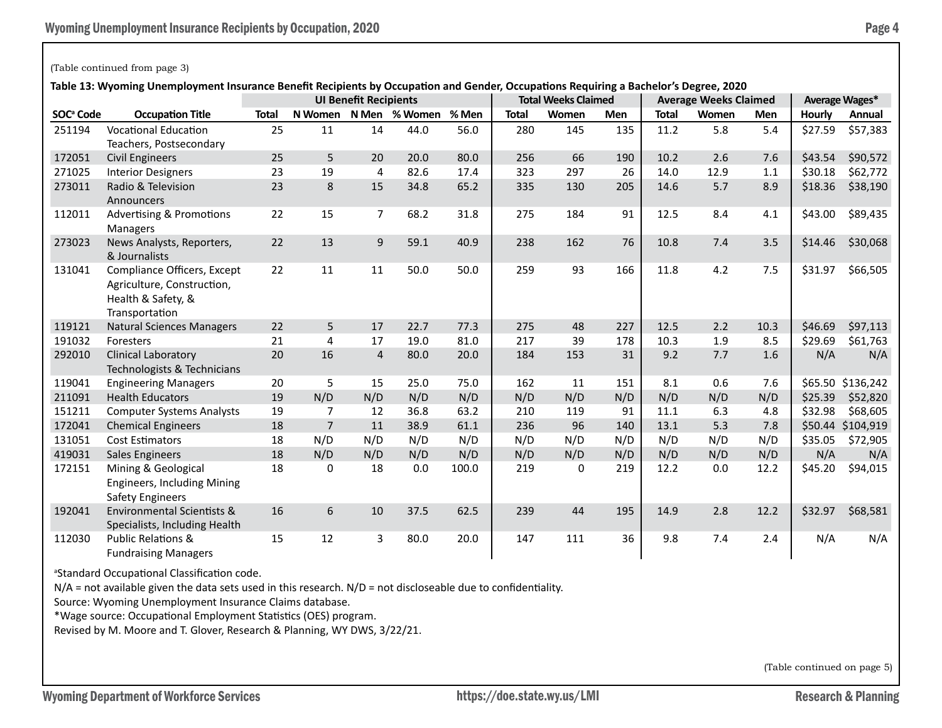# (Table continued from page 3)

**Table 13: Wyoming Unemployment Insurance Benefit Recipients by Occupation and Gender, Occupations Requiring a Bachelor's Degree, 2020**

|                       |                                                                                                   | <b>UI Benefit Recipients</b> |                |                |               |       | <b>Total Weeks Claimed</b> |       |            | <b>Average Weeks Claimed</b> | Average Wages* |      |         |           |
|-----------------------|---------------------------------------------------------------------------------------------------|------------------------------|----------------|----------------|---------------|-------|----------------------------|-------|------------|------------------------------|----------------|------|---------|-----------|
| SOC <sup>ª</sup> Code | <b>Occupation Title</b>                                                                           | <b>Total</b>                 | N Women        |                | N Men % Women | % Men | <b>Total</b>               | Women | <b>Men</b> | <b>Total</b>                 | Women          | Men  | Hourly  | Annual    |
| 251194                | <b>Vocational Education</b><br>Teachers, Postsecondary                                            | 25                           | 11             | 14             | 44.0          | 56.0  | 280                        | 145   | 135        | 11.2                         | 5.8            | 5.4  | \$27.59 | \$57,383  |
| 172051                | <b>Civil Engineers</b>                                                                            | 25                           | 5              | 20             | 20.0          | 80.0  | 256                        | 66    | 190        | 10.2                         | 2.6            | 7.6  | \$43.54 | \$90,572  |
| 271025                | <b>Interior Designers</b>                                                                         | 23                           | 19             | 4              | 82.6          | 17.4  | 323                        | 297   | 26         | 14.0                         | 12.9           | 1.1  | \$30.18 | \$62,772  |
| 273011                | Radio & Television<br>Announcers                                                                  | 23                           | 8              | 15             | 34.8          | 65.2  | 335                        | 130   | 205        | 14.6                         | 5.7            | 8.9  | \$18.36 | \$38,190  |
| 112011                | <b>Advertising &amp; Promotions</b><br>Managers                                                   | 22                           | 15             | $\overline{7}$ | 68.2          | 31.8  | 275                        | 184   | 91         | 12.5                         | 8.4            | 4.1  | \$43.00 | \$89,435  |
| 273023                | News Analysts, Reporters,<br>& Journalists                                                        | 22                           | 13             | 9              | 59.1          | 40.9  | 238                        | 162   | 76         | 10.8                         | 7.4            | 3.5  | \$14.46 | \$30,068  |
| 131041                | Compliance Officers, Except<br>Agriculture, Construction,<br>Health & Safety, &<br>Transportation | 22                           | 11             | 11             | 50.0          | 50.0  | 259                        | 93    | 166        | 11.8                         | 4.2            | 7.5  | \$31.97 | \$66,505  |
| 119121                | <b>Natural Sciences Managers</b>                                                                  | 22                           | 5              | 17             | 22.7          | 77.3  | 275                        | 48    | 227        | 12.5                         | 2.2            | 10.3 | \$46.69 | \$97,113  |
| 191032                | Foresters                                                                                         | 21                           | 4              | 17             | 19.0          | 81.0  | 217                        | 39    | 178        | 10.3                         | 1.9            | 8.5  | \$29.69 | \$61,763  |
| 292010                | <b>Clinical Laboratory</b><br>Technologists & Technicians                                         | 20                           | 16             | $\overline{4}$ | 80.0          | 20.0  | 184                        | 153   | 31         | 9.2                          | 7.7            | 1.6  | N/A     | N/A       |
| 119041                | <b>Engineering Managers</b>                                                                       | 20                           | 5              | 15             | 25.0          | 75.0  | 162                        | 11    | 151        | 8.1                          | 0.6            | 7.6  | \$65.50 | \$136,242 |
| 211091                | <b>Health Educators</b>                                                                           | 19                           | N/D            | N/D            | N/D           | N/D   | N/D                        | N/D   | N/D        | N/D                          | N/D            | N/D  | \$25.39 | \$52,820  |
| 151211                | <b>Computer Systems Analysts</b>                                                                  | 19                           | $\overline{7}$ | 12             | 36.8          | 63.2  | 210                        | 119   | 91         | 11.1                         | 6.3            | 4.8  | \$32.98 | \$68,605  |
| 172041                | <b>Chemical Engineers</b>                                                                         | 18                           | $\overline{7}$ | 11             | 38.9          | 61.1  | 236                        | 96    | 140        | 13.1                         | 5.3            | 7.8  | \$50.44 | \$104,919 |
| 131051                | <b>Cost Estimators</b>                                                                            | 18                           | N/D            | N/D            | N/D           | N/D   | N/D                        | N/D   | N/D        | N/D                          | N/D            | N/D  | \$35.05 | \$72,905  |
| 419031                | <b>Sales Engineers</b>                                                                            | 18                           | N/D            | N/D            | N/D           | N/D   | N/D                        | N/D   | N/D        | N/D                          | N/D            | N/D  | N/A     | N/A       |
| 172151                | Mining & Geological<br>Engineers, Including Mining<br><b>Safety Engineers</b>                     | 18                           | 0              | 18             | 0.0           | 100.0 | 219                        | 0     | 219        | 12.2                         | 0.0            | 12.2 | \$45.20 | \$94,015  |
| 192041                | <b>Environmental Scientists &amp;</b><br>Specialists, Including Health                            | 16                           | 6              | 10             | 37.5          | 62.5  | 239                        | 44    | 195        | 14.9                         | 2.8            | 12.2 | \$32.97 | \$68,581  |
| 112030                | <b>Public Relations &amp;</b><br><b>Fundraising Managers</b>                                      | 15                           | 12             | 3              | 80.0          | 20.0  | 147                        | 111   | 36         | 9.8                          | 7.4            | 2.4  | N/A     | N/A       |

a Standard Occupational Classification code.

 $N/A$  = not available given the data sets used in this research.  $N/D$  = not discloseable due to confidentiality.

Source: Wyoming Unemployment Insurance Claims database.

\*Wage source: Occupational Employment Statistics (OES) program.

Revised by M. Moore and T. Glover, Research & Planning, WY DWS, 3/22/21.

(Table continued on page 5)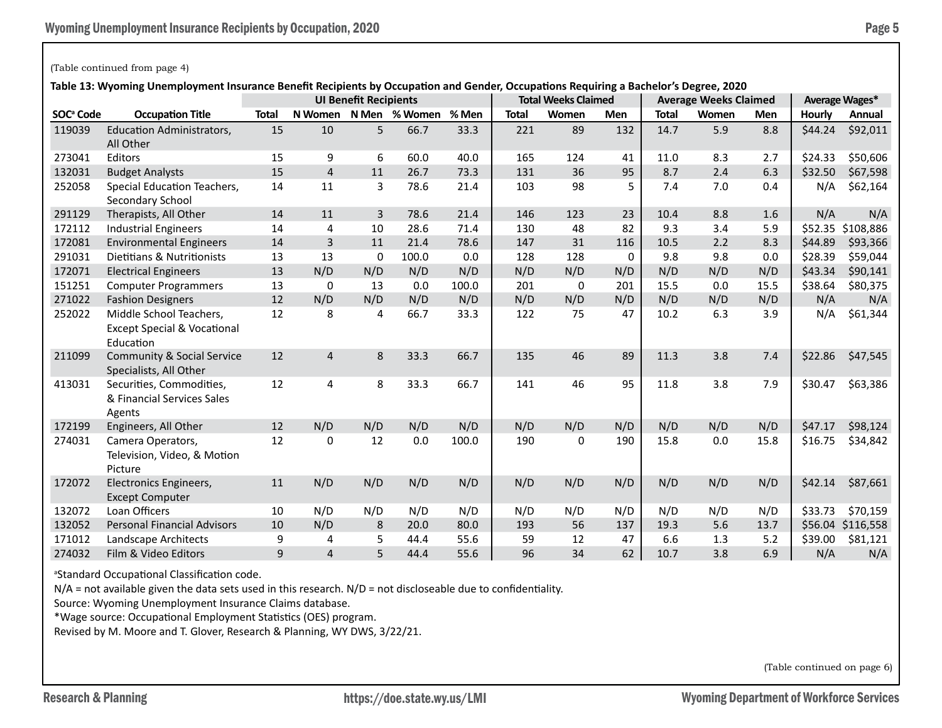# (Table continued from page 4)

**Table 13: Wyoming Unemployment Insurance Benefit Recipients by Occupation and Gender, Occupations Requiring a Bachelor's Degree, 2020**

|                       |                                                                                | <b>UI Benefit Recipients</b> |                |     |               |       | <b>Total Weeks Claimed</b> |       |     | <b>Average Weeks Claimed</b> | Average Wages* |      |               |           |
|-----------------------|--------------------------------------------------------------------------------|------------------------------|----------------|-----|---------------|-------|----------------------------|-------|-----|------------------------------|----------------|------|---------------|-----------|
| SOC <sup>ª</sup> Code | <b>Occupation Title</b>                                                        | <b>Total</b>                 | N Women        |     | N Men % Women | % Men | <b>Total</b>               | Women | Men | <b>Total</b>                 | Women          | Men  | <b>Hourly</b> | Annual    |
| 119039                | <b>Education Administrators,</b><br>All Other                                  | 15                           | 10             | 5   | 66.7          | 33.3  | 221                        | 89    | 132 | 14.7                         | 5.9            | 8.8  | \$44.24       | \$92,011  |
| 273041                | Editors                                                                        | 15                           | 9              | 6   | 60.0          | 40.0  | 165                        | 124   | 41  | 11.0                         | 8.3            | 2.7  | \$24.33       | \$50,606  |
| 132031                | <b>Budget Analysts</b>                                                         | 15                           | $\overline{4}$ | 11  | 26.7          | 73.3  | 131                        | 36    | 95  | 8.7                          | 2.4            | 6.3  | \$32.50       | \$67,598  |
| 252058                | <b>Special Education Teachers,</b><br>Secondary School                         | 14                           | 11             | 3   | 78.6          | 21.4  | 103                        | 98    | 5   | 7.4                          | 7.0            | 0.4  | N/A           | \$62,164  |
| 291129                | Therapists, All Other                                                          | 14                           | 11             | 3   | 78.6          | 21.4  | 146                        | 123   | 23  | 10.4                         | 8.8            | 1.6  | N/A           | N/A       |
| 172112                | <b>Industrial Engineers</b>                                                    | 14                           | 4              | 10  | 28.6          | 71.4  | 130                        | 48    | 82  | 9.3                          | 3.4            | 5.9  | \$52.35       | \$108,886 |
| 172081                | <b>Environmental Engineers</b>                                                 | 14                           | 3              | 11  | 21.4          | 78.6  | 147                        | 31    | 116 | 10.5                         | 2.2            | 8.3  | \$44.89       | \$93,366  |
| 291031                | Dietitians & Nutritionists                                                     | 13                           | 13             | 0   | 100.0         | 0.0   | 128                        | 128   | 0   | 9.8                          | 9.8            | 0.0  | \$28.39       | \$59,044  |
| 172071                | <b>Electrical Engineers</b>                                                    | 13                           | N/D            | N/D | N/D           | N/D   | N/D                        | N/D   | N/D | N/D                          | N/D            | N/D  | \$43.34       | \$90,141  |
| 151251                | <b>Computer Programmers</b>                                                    | 13                           | 0              | 13  | 0.0           | 100.0 | 201                        | 0     | 201 | 15.5                         | 0.0            | 15.5 | \$38.64       | \$80,375  |
| 271022                | <b>Fashion Designers</b>                                                       | 12                           | N/D            | N/D | N/D           | N/D   | N/D                        | N/D   | N/D | N/D                          | N/D            | N/D  | N/A           | N/A       |
| 252022                | Middle School Teachers,<br><b>Except Special &amp; Vocational</b><br>Education | 12                           | 8              | 4   | 66.7          | 33.3  | 122                        | 75    | 47  | 10.2                         | 6.3            | 3.9  | N/A           | \$61,344  |
| 211099                | <b>Community &amp; Social Service</b><br>Specialists, All Other                | 12                           | $\overline{4}$ | 8   | 33.3          | 66.7  | 135                        | 46    | 89  | 11.3                         | 3.8            | 7.4  | \$22.86       | \$47,545  |
| 413031                | Securities, Commodities,<br>& Financial Services Sales<br>Agents               | 12                           | 4              | 8   | 33.3          | 66.7  | 141                        | 46    | 95  | 11.8                         | 3.8            | 7.9  | \$30.47       | \$63,386  |
| 172199                | Engineers, All Other                                                           | 12                           | N/D            | N/D | N/D           | N/D   | N/D                        | N/D   | N/D | N/D                          | N/D            | N/D  | \$47.17       | \$98,124  |
| 274031                | Camera Operators,<br>Television, Video, & Motion<br>Picture                    | 12                           | 0              | 12  | 0.0           | 100.0 | 190                        | 0     | 190 | 15.8                         | 0.0            | 15.8 | \$16.75       | \$34,842  |
| 172072                | Electronics Engineers,<br><b>Except Computer</b>                               | 11                           | N/D            | N/D | N/D           | N/D   | N/D                        | N/D   | N/D | N/D                          | N/D            | N/D  | \$42.14       | \$87,661  |
| 132072                | Loan Officers                                                                  | 10                           | N/D            | N/D | N/D           | N/D   | N/D                        | N/D   | N/D | N/D                          | N/D            | N/D  | \$33.73       | \$70,159  |
| 132052                | <b>Personal Financial Advisors</b>                                             | 10                           | N/D            | 8   | 20.0          | 80.0  | 193                        | 56    | 137 | 19.3                         | 5.6            | 13.7 | \$56.04       | \$116,558 |
| 171012                | Landscape Architects                                                           | 9                            | 4              | 5   | 44.4          | 55.6  | 59                         | 12    | 47  | 6.6                          | 1.3            | 5.2  | \$39.00       | \$81,121  |
| 274032                | Film & Video Editors                                                           | 9                            | 4              | 5   | 44.4          | 55.6  | 96                         | 34    | 62  | 10.7                         | 3.8            | 6.9  | N/A           | N/A       |

<sup>a</sup>Standard Occupational Classification code.

N/A = not available given the data sets used in this research. N/D = not discloseable due to confidentiality.

Source: Wyoming Unemployment Insurance Claims database.

\*Wage source: Occupational Employment Statistics (OES) program.

Revised by M. Moore and T. Glover, Research & Planning, WY DWS, 3/22/21.

(Table continued on page 6)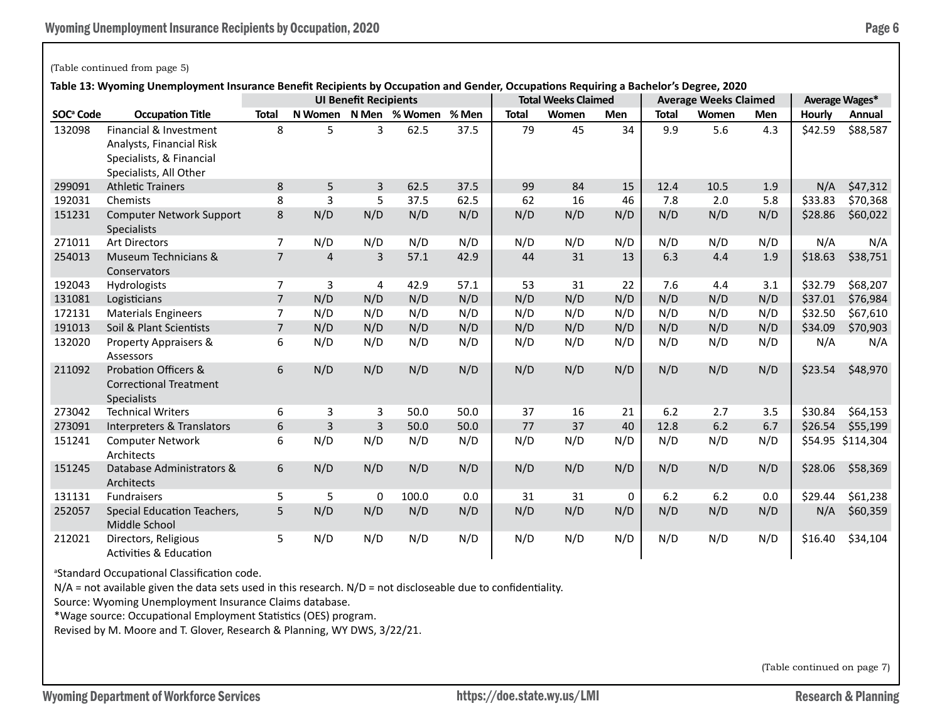### (Table continued from page 5)

**Table 13: Wyoming Unemployment Insurance Benefit Recipients by Occupation and Gender, Occupations Requiring a Bachelor's Degree, 2020**

|                       |                                                                                                          | <b>UI Benefit Recipients</b> |     |             |                       |       | <b>Total Weeks Claimed</b> |       |            | <b>Average Weeks Claimed</b> | Average Wages* |     |               |           |
|-----------------------|----------------------------------------------------------------------------------------------------------|------------------------------|-----|-------------|-----------------------|-------|----------------------------|-------|------------|------------------------------|----------------|-----|---------------|-----------|
| SOC <sup>ª</sup> Code | <b>Occupation Title</b>                                                                                  | <b>Total</b>                 |     |             | N Women N Men % Women | % Men | <b>Total</b>               | Women | <b>Men</b> | <b>Total</b>                 | Women          | Men | <b>Hourly</b> | Annual    |
| 132098                | Financial & Investment<br>Analysts, Financial Risk<br>Specialists, & Financial<br>Specialists, All Other | 8                            | 5   | 3           | 62.5                  | 37.5  | 79                         | 45    | 34         | 9.9                          | 5.6            | 4.3 | \$42.59       | \$88,587  |
| 299091                | <b>Athletic Trainers</b>                                                                                 | 8                            | 5   | 3           | 62.5                  | 37.5  | 99                         | 84    | 15         | 12.4                         | 10.5           | 1.9 | N/A           | \$47,312  |
| 192031                | Chemists                                                                                                 | 8                            | 3   | 5           | 37.5                  | 62.5  | 62                         | 16    | 46         | 7.8                          | 2.0            | 5.8 | \$33.83       | \$70,368  |
| 151231                | <b>Computer Network Support</b><br><b>Specialists</b>                                                    | 8                            | N/D | N/D         | N/D                   | N/D   | N/D                        | N/D   | N/D        | N/D                          | N/D            | N/D | \$28.86       | \$60,022  |
| 271011                | <b>Art Directors</b>                                                                                     | $\overline{7}$               | N/D | N/D         | N/D                   | N/D   | N/D                        | N/D   | N/D        | N/D                          | N/D            | N/D | N/A           | N/A       |
| 254013                | Museum Technicians &<br>Conservators                                                                     | $\overline{7}$               | 4   | 3           | 57.1                  | 42.9  | 44                         | 31    | 13         | 6.3                          | 4.4            | 1.9 | \$18.63       | \$38,751  |
| 192043                | Hydrologists                                                                                             | $\overline{7}$               | 3   | 4           | 42.9                  | 57.1  | 53                         | 31    | 22         | 7.6                          | 4.4            | 3.1 | \$32.79       | \$68,207  |
| 131081                | Logisticians                                                                                             | $\overline{7}$               | N/D | N/D         | N/D                   | N/D   | N/D                        | N/D   | N/D        | N/D                          | N/D            | N/D | \$37.01       | \$76,984  |
| 172131                | <b>Materials Engineers</b>                                                                               | $\overline{7}$               | N/D | N/D         | N/D                   | N/D   | N/D                        | N/D   | N/D        | N/D                          | N/D            | N/D | \$32.50       | \$67,610  |
| 191013                | Soil & Plant Scientists                                                                                  | $\overline{7}$               | N/D | N/D         | N/D                   | N/D   | N/D                        | N/D   | N/D        | N/D                          | N/D            | N/D | \$34.09       | \$70,903  |
| 132020                | Property Appraisers &<br>Assessors                                                                       | 6                            | N/D | N/D         | N/D                   | N/D   | N/D                        | N/D   | N/D        | N/D                          | N/D            | N/D | N/A           | N/A       |
| 211092                | <b>Probation Officers &amp;</b><br><b>Correctional Treatment</b><br><b>Specialists</b>                   | 6                            | N/D | N/D         | N/D                   | N/D   | N/D                        | N/D   | N/D        | N/D                          | N/D            | N/D | \$23.54       | \$48,970  |
| 273042                | <b>Technical Writers</b>                                                                                 | 6                            | 3   | 3           | 50.0                  | 50.0  | 37                         | 16    | 21         | 6.2                          | 2.7            | 3.5 | \$30.84       | \$64,153  |
| 273091                | Interpreters & Translators                                                                               | 6                            | 3   | 3           | 50.0                  | 50.0  | 77                         | 37    | 40         | 12.8                         | 6.2            | 6.7 | \$26.54       | \$55,199  |
| 151241                | <b>Computer Network</b><br>Architects                                                                    | 6                            | N/D | N/D         | N/D                   | N/D   | N/D                        | N/D   | N/D        | N/D                          | N/D            | N/D | \$54.95       | \$114,304 |
| 151245                | Database Administrators &<br>Architects                                                                  | 6                            | N/D | N/D         | N/D                   | N/D   | N/D                        | N/D   | N/D        | N/D                          | N/D            | N/D | \$28.06       | \$58,369  |
| 131131                | Fundraisers                                                                                              | 5                            | 5   | $\mathbf 0$ | 100.0                 | 0.0   | 31                         | 31    | 0          | 6.2                          | 6.2            | 0.0 | \$29.44       | \$61,238  |
| 252057                | Special Education Teachers,<br>Middle School                                                             | 5                            | N/D | N/D         | N/D                   | N/D   | N/D                        | N/D   | N/D        | N/D                          | N/D            | N/D | N/A           | \$60,359  |
| 212021                | Directors, Religious<br><b>Activities &amp; Education</b>                                                | 5                            | N/D | N/D         | N/D                   | N/D   | N/D                        | N/D   | N/D        | N/D                          | N/D            | N/D | \$16.40       | \$34,104  |

a Standard Occupational Classification code.

 $N/A$  = not available given the data sets used in this research.  $N/D$  = not discloseable due to confidentiality.

Source: Wyoming Unemployment Insurance Claims database.

\*Wage source: Occupational Employment Statistics (OES) program.

Revised by M. Moore and T. Glover, Research & Planning, WY DWS, 3/22/21.

(Table continued on page 7)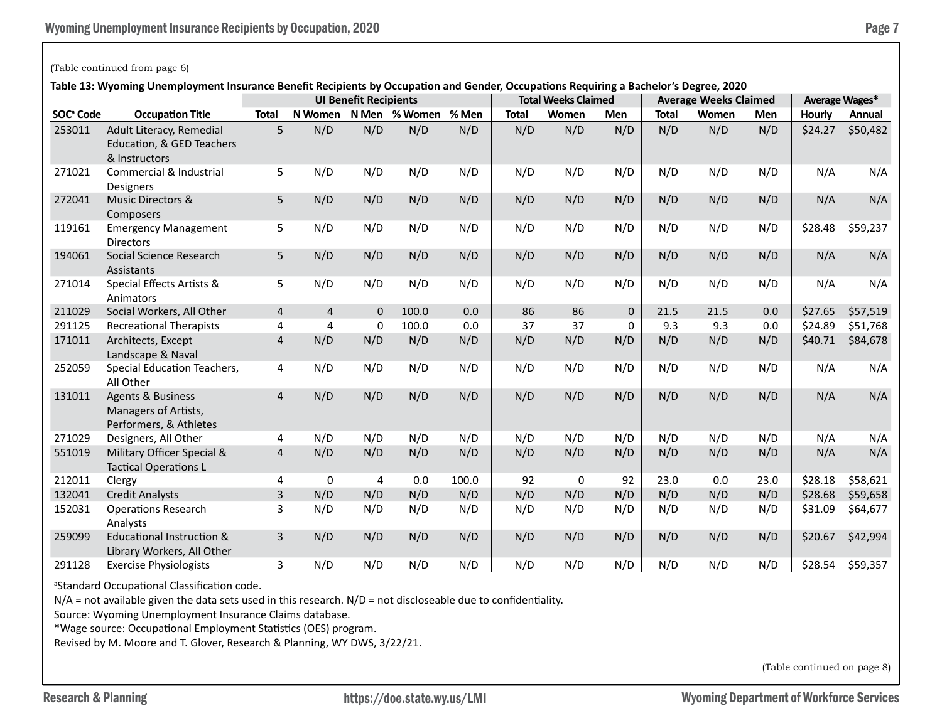# (Table continued from page 6)

**Table 13: Wyoming Unemployment Insurance Benefit Recipients by Occupation and Gender, Occupations Requiring a Bachelor's Degree, 2020**

|                       |                                                                                | <b>UI Benefit Recipients</b> |                |             |               |       | <b>Total Weeks Claimed</b> |             |            | <b>Average Weeks Claimed</b> | Average Wages* |      |         |          |
|-----------------------|--------------------------------------------------------------------------------|------------------------------|----------------|-------------|---------------|-------|----------------------------|-------------|------------|------------------------------|----------------|------|---------|----------|
| SOC <sup>ª</sup> Code | <b>Occupation Title</b>                                                        | <b>Total</b>                 | N Women        |             | N Men % Women | % Men | <b>Total</b>               | Women       | <b>Men</b> | <b>Total</b>                 | Women          | Men  | Hourly  | Annual   |
| 253011                | Adult Literacy, Remedial<br>Education, & GED Teachers<br>& Instructors         | 5                            | N/D            | N/D         | N/D           | N/D   | N/D                        | N/D         | N/D        | N/D                          | N/D            | N/D  | \$24.27 | \$50,482 |
| 271021                | Commercial & Industrial<br>Designers                                           | 5                            | N/D            | N/D         | N/D           | N/D   | N/D                        | N/D         | N/D        | N/D                          | N/D            | N/D  | N/A     | N/A      |
| 272041                | Music Directors &<br>Composers                                                 | 5                            | N/D            | N/D         | N/D           | N/D   | N/D                        | N/D         | N/D        | N/D                          | N/D            | N/D  | N/A     | N/A      |
| 119161                | <b>Emergency Management</b><br><b>Directors</b>                                | 5                            | N/D            | N/D         | N/D           | N/D   | N/D                        | N/D         | N/D        | N/D                          | N/D            | N/D  | \$28.48 | \$59,237 |
| 194061                | Social Science Research<br>Assistants                                          | 5                            | N/D            | N/D         | N/D           | N/D   | N/D                        | N/D         | N/D        | N/D                          | N/D            | N/D  | N/A     | N/A      |
| 271014                | Special Effects Artists &<br>Animators                                         | 5                            | N/D            | N/D         | N/D           | N/D   | N/D                        | N/D         | N/D        | N/D                          | N/D            | N/D  | N/A     | N/A      |
| 211029                | Social Workers, All Other                                                      | 4                            | $\overline{4}$ | $\mathbf 0$ | 100.0         | 0.0   | 86                         | 86          | $\Omega$   | 21.5                         | 21.5           | 0.0  | \$27.65 | \$57,519 |
| 291125                | <b>Recreational Therapists</b>                                                 | 4                            | 4              | $\mathbf 0$ | 100.0         | 0.0   | 37                         | 37          | 0          | 9.3                          | 9.3            | 0.0  | \$24.89 | \$51,768 |
| 171011                | Architects, Except<br>Landscape & Naval                                        | $\overline{4}$               | N/D            | N/D         | N/D           | N/D   | N/D                        | N/D         | N/D        | N/D                          | N/D            | N/D  | \$40.71 | \$84,678 |
| 252059                | Special Education Teachers,<br>All Other                                       | 4                            | N/D            | N/D         | N/D           | N/D   | N/D                        | N/D         | N/D        | N/D                          | N/D            | N/D  | N/A     | N/A      |
| 131011                | <b>Agents &amp; Business</b><br>Managers of Artists,<br>Performers, & Athletes | 4                            | N/D            | N/D         | N/D           | N/D   | N/D                        | N/D         | N/D        | N/D                          | N/D            | N/D  | N/A     | N/A      |
| 271029                | Designers, All Other                                                           | 4                            | N/D            | N/D         | N/D           | N/D   | N/D                        | N/D         | N/D        | N/D                          | N/D            | N/D  | N/A     | N/A      |
| 551019                | Military Officer Special &<br><b>Tactical Operations L</b>                     | 4                            | N/D            | N/D         | N/D           | N/D   | N/D                        | N/D         | N/D        | N/D                          | N/D            | N/D  | N/A     | N/A      |
| 212011                | Clergy                                                                         | 4                            | 0              | 4           | 0.0           | 100.0 | 92                         | $\mathbf 0$ | 92         | 23.0                         | 0.0            | 23.0 | \$28.18 | \$58,621 |
| 132041                | <b>Credit Analysts</b>                                                         | 3                            | N/D            | N/D         | N/D           | N/D   | N/D                        | N/D         | N/D        | N/D                          | N/D            | N/D  | \$28.68 | \$59,658 |
| 152031                | <b>Operations Research</b><br>Analysts                                         | 3                            | N/D            | N/D         | N/D           | N/D   | N/D                        | N/D         | N/D        | N/D                          | N/D            | N/D  | \$31.09 | \$64,677 |
| 259099                | <b>Educational Instruction &amp;</b><br>Library Workers, All Other             | 3                            | N/D            | N/D         | N/D           | N/D   | N/D                        | N/D         | N/D        | N/D                          | N/D            | N/D  | \$20.67 | \$42,994 |
| 291128                | <b>Exercise Physiologists</b>                                                  | 3                            | N/D            | N/D         | N/D           | N/D   | N/D                        | N/D         | N/D        | N/D                          | N/D            | N/D  | \$28.54 | \$59,357 |

a Standard Occupational Classification code.

N/A = not available given the data sets used in this research. N/D = not discloseable due to confidentiality.

Source: Wyoming Unemployment Insurance Claims database.

\*Wage source: Occupational Employment Statistics (OES) program.

Revised by M. Moore and T. Glover, Research & Planning, WY DWS, 3/22/21.

(Table continued on page 8)